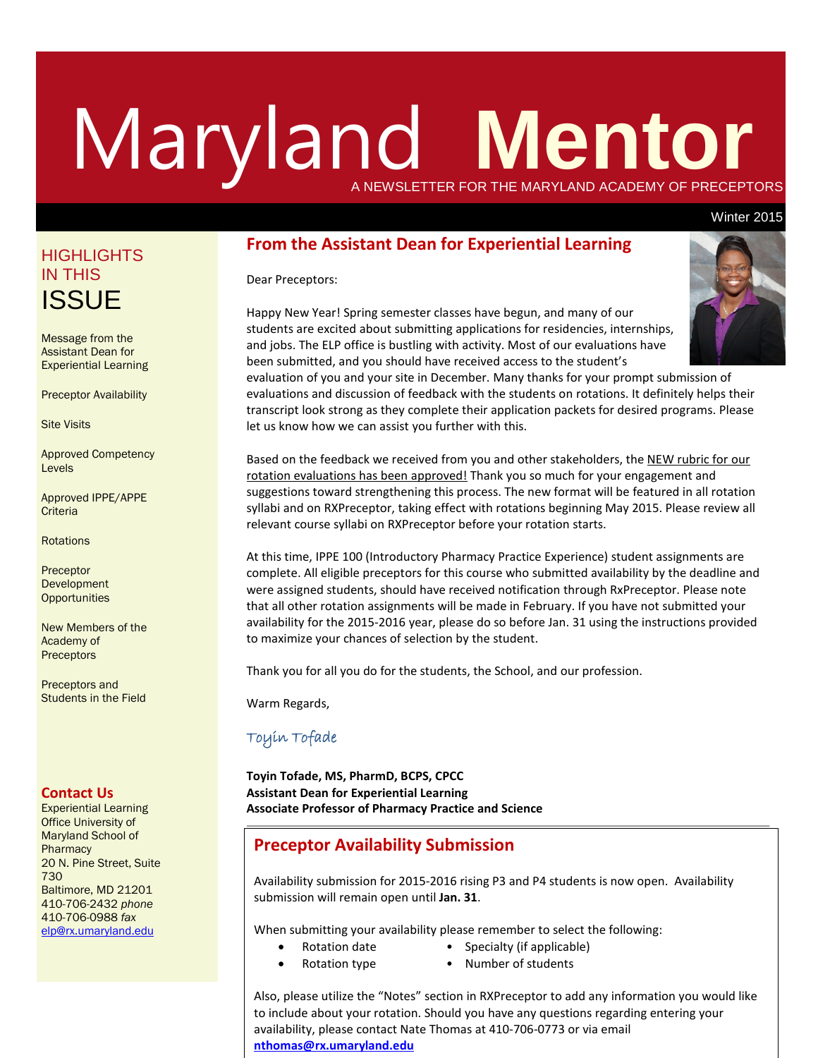# Maryland **Mentor** A NEWSLETTER FOR THE MARYLAND ACADEMY OF PRECEPTORS

#### Winter 2015

## **From the Assistant Dean for Experiential Learning**

#### Dear Preceptors:

Happy New Year! Spring semester classes have begun, and many of our students are excited about submitting applications for residencies, internships, and jobs. The ELP office is bustling with activity. Most of our evaluations have been submitted, and you should have received access to the student's



Based on the feedback we received from you and other stakeholders, the NEW rubric for our rotation evaluations has been approved! Thank you so much for your engagement and suggestions toward strengthening this process. The new format will be featured in all rotation syllabi and on RXPreceptor, taking effect with rotations beginning May 2015. Please review all relevant course syllabi on RXPreceptor before your rotation starts.

At this time, IPPE 100 (Introductory Pharmacy Practice Experience) student assignments are complete. All eligible preceptors for this course who submitted availability by the deadline and were assigned students, should have received notification through RxPreceptor. Please note that all other rotation assignments will be made in February. If you have not submitted your availability for the 2015-2016 year, please do so before Jan. 31 using the instructions provided to maximize your chances of selection by the student.

Thank you for all you do for the students, the School, and our profession.

Warm Regards,

## Toyin Tofade

**Toyin Tofade, MS, PharmD, BCPS, CPCC Assistant Dean for Experiential Learning Associate Professor of Pharmacy Practice and Science**

## **Preceptor Availability Submission**

Availability submission for 2015-2016 rising P3 and P4 students is now open. Availability submission will remain open until **Jan. 31**.

When submitting your availability please remember to select the following:

- Rotation date Specialty (if applicable)
- Rotation type Number of students
	-

Also, please utilize the "Notes" section in RXPreceptor to add any information you would like to include about your rotation. Should you have any questions regarding entering your availability, please contact Nate Thomas at 410-706-0773 or via email **[nthomas@rx.umaryland.edu](mailto:nthomas@rx.umaryland.edu)**

# **HIGHLIGHTS** IN THIS **ISSUE**

Message from the Assistant Dean for Experiential Learning

Preceptor Availability

Site Visits

Approved Competency Levels

Approved IPPE/APPE **Criteria** 

**Rotations** 

Preceptor Development **Opportunities** 

New Members of the Academy of **Preceptors** 

Preceptors and Students in the Field

#### **Contact Us**

Experiential Learning Office University of Maryland School of **Pharmacy** 20 N. Pine Street, Suite 730 Baltimore, MD 21201 410-706-2432 *phone* 410-706-0988 *fax* [elp@rx.umaryland.edu](mailto:elp@rx.umaryland.edu)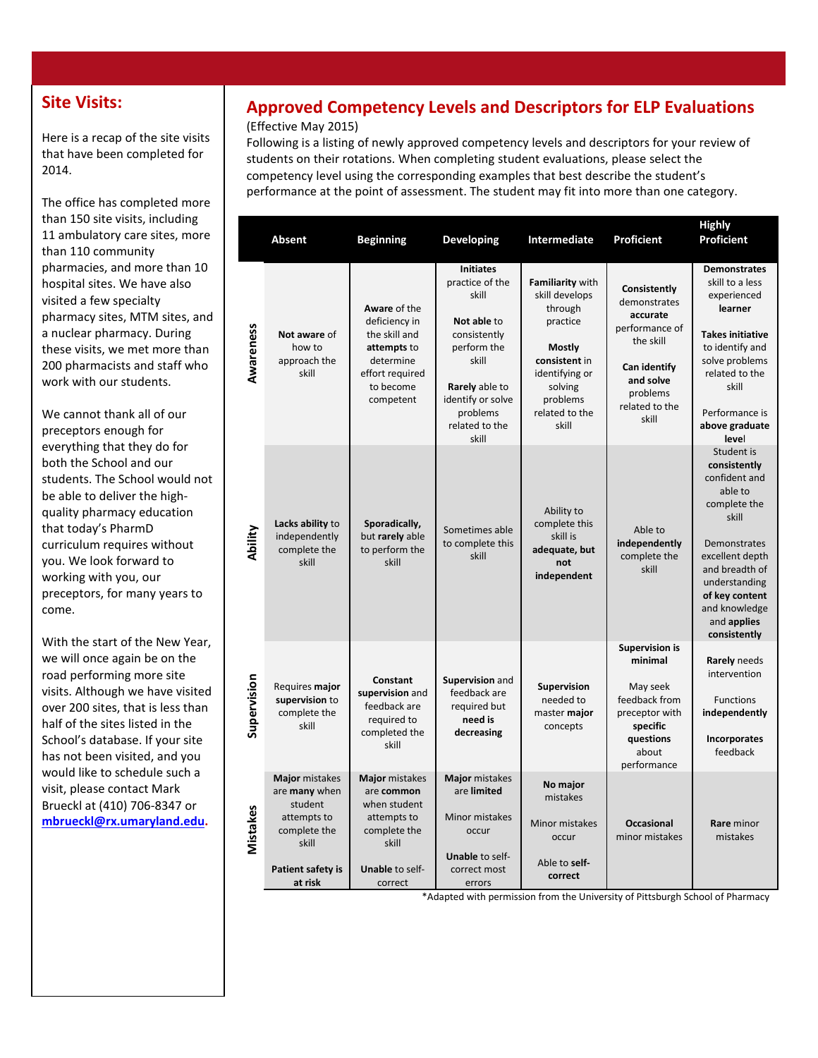# **Site Visits:**

Here is a recap of the site visits that have been completed for 2014.

The office has completed more than 150 site visits, including 11 ambulatory care sites, more than 110 community pharmacies, and more than 10 hospital sites. We have also visited a few specialty pharmacy sites, MTM sites, and a nuclear pharmacy. During these visits, we met more than 200 pharmacists and staff who work with our students.

We cannot thank all of our preceptors enough for everything that they do for both the School and our students. The School would not be able to deliver the highquality pharmacy education that today's PharmD curriculum requires without you. We look forward to working with you, our preceptors, for many years to come.

With the start of the New Year, we will once again be on the road performing more site visits. Although we have visited over 200 sites, that is less than half of the sites listed in the School's database. If your site has not been visited, and you would like to schedule such a visit, please contact Mark Brueckl at (410) 706-8347 or **[mbrueckl@rx.umaryland.edu.](mailto:mbrueckl@rx.umaryland.edu)**

# **Approved Competency Levels and Descriptors for ELP Evaluations**

#### (Effective May 2015)

Following is a listing of newly approved competency levels and descriptors for your review of students on their rotations. When completing student evaluations, please select the competency level using the corresponding examples that best describe the student's performance at the point of assessment. The student may fit into more than one category.

|             | <b>Absent</b>                                                                                                             | <b>Beginning</b>                                                                                                          | <b>Developing</b>                                                                                                                                                                        | <b>Intermediate</b>                                                                                                                                             | <b>Proficient</b>                                                                                                                           | <b>Highly</b><br><b>Proficient</b>                                                                                                                                                                                      |
|-------------|---------------------------------------------------------------------------------------------------------------------------|---------------------------------------------------------------------------------------------------------------------------|------------------------------------------------------------------------------------------------------------------------------------------------------------------------------------------|-----------------------------------------------------------------------------------------------------------------------------------------------------------------|---------------------------------------------------------------------------------------------------------------------------------------------|-------------------------------------------------------------------------------------------------------------------------------------------------------------------------------------------------------------------------|
| Awareness   | Not aware of<br>how to<br>approach the<br>skill                                                                           | Aware of the<br>deficiency in<br>the skill and<br>attempts to<br>determine<br>effort required<br>to become<br>competent   | <b>Initiates</b><br>practice of the<br>skill<br>Not able to<br>consistently<br>perform the<br>skill<br><b>Rarely</b> able to<br>identify or solve<br>problems<br>related to the<br>skill | Familiarity with<br>skill develops<br>through<br>practice<br><b>Mostly</b><br>consistent in<br>identifying or<br>solving<br>problems<br>related to the<br>skill | Consistently<br>demonstrates<br>accurate<br>performance of<br>the skill<br>Can identify<br>and solve<br>problems<br>related to the<br>skill | <b>Demonstrates</b><br>skill to a less<br>experienced<br>learner<br><b>Takes initiative</b><br>to identify and<br>solve problems<br>related to the<br>skill<br>Performance is<br>above graduate<br>level                |
| Ability     | Lacks ability to<br>independently<br>complete the<br>skill                                                                | Sporadically,<br>but rarely able<br>to perform the<br>skill                                                               | Sometimes able<br>to complete this<br>skill                                                                                                                                              | Ability to<br>complete this<br>skill is<br>adequate, but<br>not<br>independent                                                                                  | Able to<br>independently<br>complete the<br>skill                                                                                           | Student is<br>consistently<br>confident and<br>able to<br>complete the<br>skill<br>Demonstrates<br>excellent depth<br>and breadth of<br>understanding<br>of key content<br>and knowledge<br>and applies<br>consistently |
| Supervision | Requires major<br>supervision to<br>complete the<br>skill                                                                 | Constant<br>supervision and<br>feedback are<br>required to<br>completed the<br>skill                                      | Supervision and<br>feedback are<br>required but<br>need is<br>decreasing                                                                                                                 | Supervision<br>needed to<br>master major<br>concepts                                                                                                            | <b>Supervision is</b><br>minimal<br>May seek<br>feedback from<br>preceptor with<br>specific<br>questions<br>about<br>performance            | Rarely needs<br>intervention<br><b>Functions</b><br>independently<br>Incorporates<br>feedback                                                                                                                           |
| Mistakes    | Major mistakes<br>are many when<br>student<br>attempts to<br>complete the<br>skill<br><b>Patient safety is</b><br>at risk | Major mistakes<br>are common<br>when student<br>attempts to<br>complete the<br>skill<br><b>Unable to self-</b><br>correct | Major mistakes<br>are limited<br>Minor mistakes<br>occur<br><b>Unable to self-</b><br>correct most<br>errors                                                                             | No major<br>mistakes<br>Minor mistakes<br>occur<br>Able to self-<br>correct                                                                                     | <b>Occasional</b><br>minor mistakes                                                                                                         | <b>Rare</b> minor<br>mistakes                                                                                                                                                                                           |

\*Adapted with permission from the University of Pittsburgh School of Pharmacy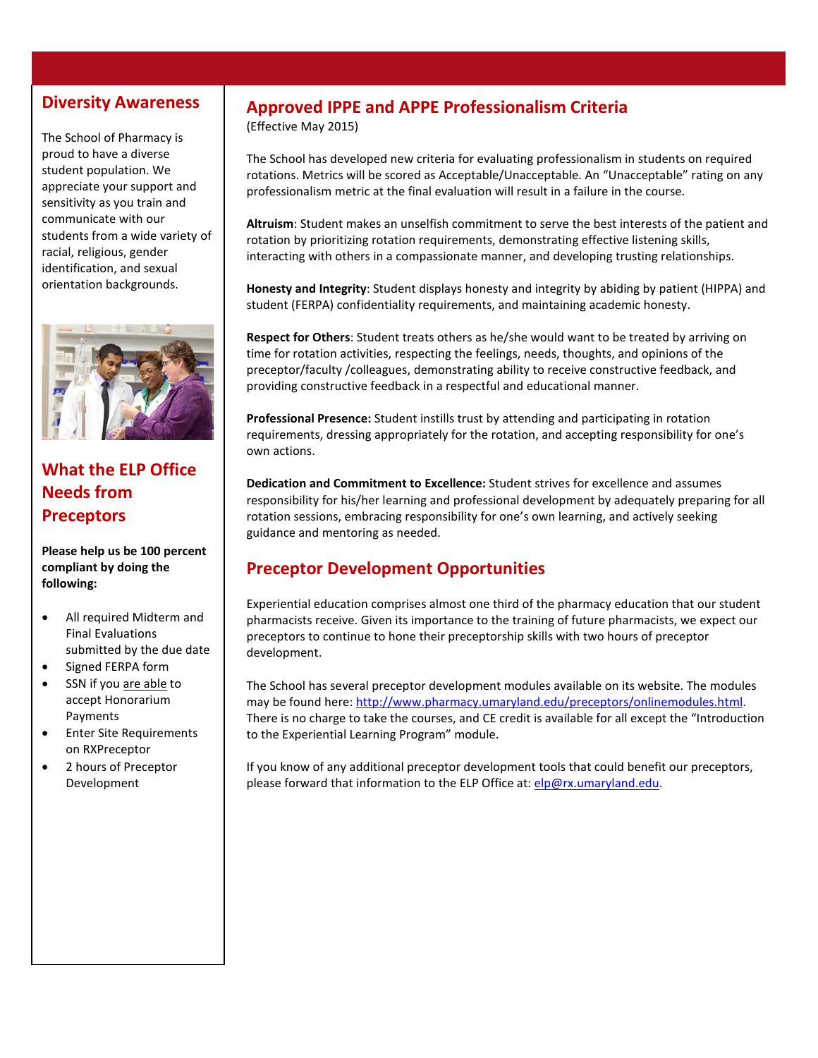# **Diversity Awareness**

The School of Pharmacy is proud to have a diverse student population. We appreciate your support and sensitivity as you train and communicate with our students from a wide variety of racial, religious, gender identification, and sexual orientation backgrounds.



# **What the ELP Office Needs from Preceptors**

**Please help us be 100 percent compliant by doing the following:**

- All required Midterm and Final Evaluations submitted by the due date
- Signed FERPA form
- SSN if you are able to accept Honorarium Payments
- Enter Site Requirements on RXPreceptor
- 2 hours of Preceptor Development

# **Approved IPPE and APPE Professionalism Criteria**

(Effective May 2015)

The School has developed new criteria for evaluating professionalism in students on required rotations. Metrics will be scored as Acceptable/Unacceptable. An "Unacceptable" rating on any professionalism metric at the final evaluation will result in a failure in the course.

**Altruism**: Student makes an unselfish commitment to serve the best interests of the patient and rotation by prioritizing rotation requirements, demonstrating effective listening skills, interacting with others in a compassionate manner, and developing trusting relationships.

**Honesty and Integrity**: Student displays honesty and integrity by abiding by patient (HIPPA) and student (FERPA) confidentiality requirements, and maintaining academic honesty.

**Respect for Others**: Student treats others as he/she would want to be treated by arriving on time for rotation activities, respecting the feelings, needs, thoughts, and opinions of the preceptor/faculty /colleagues, demonstrating ability to receive constructive feedback, and providing constructive feedback in a respectful and educational manner.

**Professional Presence:** Student instills trust by attending and participating in rotation requirements, dressing appropriately for the rotation, and accepting responsibility for one's own actions.

**Dedication and Commitment to Excellence:** Student strives for excellence and assumes responsibility for his/her learning and professional development by adequately preparing for all rotation sessions, embracing responsibility for one's own learning, and actively seeking guidance and mentoring as needed.

# **Preceptor Development Opportunities**

Experiential education comprises almost one third of the pharmacy education that our student pharmacists receive. Given its importance to the training of future pharmacists, we expect our preceptors to continue to hone their preceptorship skills with two hours of preceptor development.

The School has several preceptor development modules available on its website. The modules may be found here[: http://www.pharmacy.umaryland.edu/preceptors/onlinemodules.html.](http://www.pharmacy.umaryland.edu/preceptors/onlinemodules.html) There is no charge to take the courses, and CE credit is available for all except the "Introduction to the Experiential Learning Program" module.

If you know of any additional preceptor development tools that could benefit our preceptors, please forward that information to the ELP Office at: [elp@rx.umaryland.edu.](mailto:elp@rx.umaryland.edu)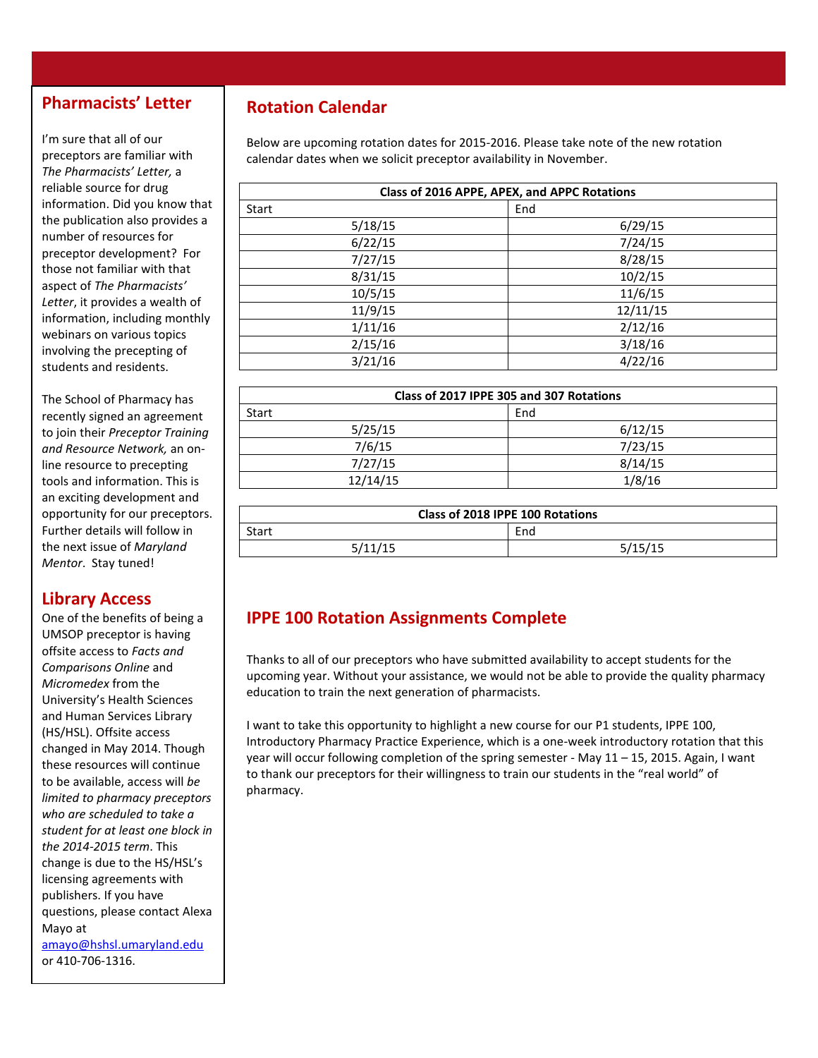# **Pharmacists' Letter**

I'm sure that all of our preceptors are familiar with *The Pharmacists' Letter,* a reliable source for drug information. Did you know that the publication also provides a number of resources for preceptor development? For those not familiar with that aspect of *The Pharmacists' Letter*, it provides a wealth of information, including monthly webinars on various topics involving the precepting of students and residents.

The School of Pharmacy has recently signed an agreement to join their *Preceptor Training and Resource Network,* an online resource to precepting tools and information. This is an exciting development and opportunity for our preceptors. Further details will follow in the next issue of *Maryland Mentor*. Stay tuned!

## **Library Access**

One of the benefits of being a UMSOP preceptor is having offsite access to *Facts and Comparisons Online* and *Micromedex* from the University's Health Sciences and Human Services Library (HS/HSL). Offsite access changed in May 2014. Though these resources will continue to be available, access will *be limited to pharmacy preceptors who are scheduled to take a student for at least one block in the 2014-2015 term*. This change is due to the HS/HSL's licensing agreements with publishers. If you have questions, please contact Alexa Mayo at [amayo@hshsl.umaryland.edu](mailto:amayo@hshsl.umaryland.edu) or 410-706-1316.

# **Rotation Calendar**

Below are upcoming rotation dates for 2015-2016. Please take note of the new rotation calendar dates when we solicit preceptor availability in November.

| Class of 2016 APPE, APEX, and APPC Rotations |          |  |  |  |
|----------------------------------------------|----------|--|--|--|
| Start                                        | End      |  |  |  |
| 5/18/15                                      | 6/29/15  |  |  |  |
| 6/22/15                                      | 7/24/15  |  |  |  |
| 7/27/15                                      | 8/28/15  |  |  |  |
| 8/31/15                                      | 10/2/15  |  |  |  |
| 10/5/15                                      | 11/6/15  |  |  |  |
| 11/9/15                                      | 12/11/15 |  |  |  |
| 1/11/16                                      | 2/12/16  |  |  |  |
| 2/15/16                                      | 3/18/16  |  |  |  |
| 3/21/16                                      | 4/22/16  |  |  |  |

| Class of 2017 IPPE 305 and 307 Rotations |         |  |  |  |
|------------------------------------------|---------|--|--|--|
| <b>Start</b>                             | End     |  |  |  |
| 5/25/15                                  | 6/12/15 |  |  |  |
| 7/6/15                                   | 7/23/15 |  |  |  |
| 7/27/15                                  | 8/14/15 |  |  |  |
| 12/14/15                                 | 1/8/16  |  |  |  |

| Class of 2018 IPPE 100 Rotations |         |  |  |  |
|----------------------------------|---------|--|--|--|
| <b>Start</b>                     | End     |  |  |  |
| 5/11/15                          | 5/15/15 |  |  |  |

# **IPPE 100 Rotation Assignments Complete**

Thanks to all of our preceptors who have submitted availability to accept students for the upcoming year. Without your assistance, we would not be able to provide the quality pharmacy education to train the next generation of pharmacists.

I want to take this opportunity to highlight a new course for our P1 students, IPPE 100, Introductory Pharmacy Practice Experience, which is a one-week introductory rotation that this year will occur following completion of the spring semester - May 11 – 15, 2015. Again, I want to thank our preceptors for their willingness to train our students in the "real world" of pharmacy.